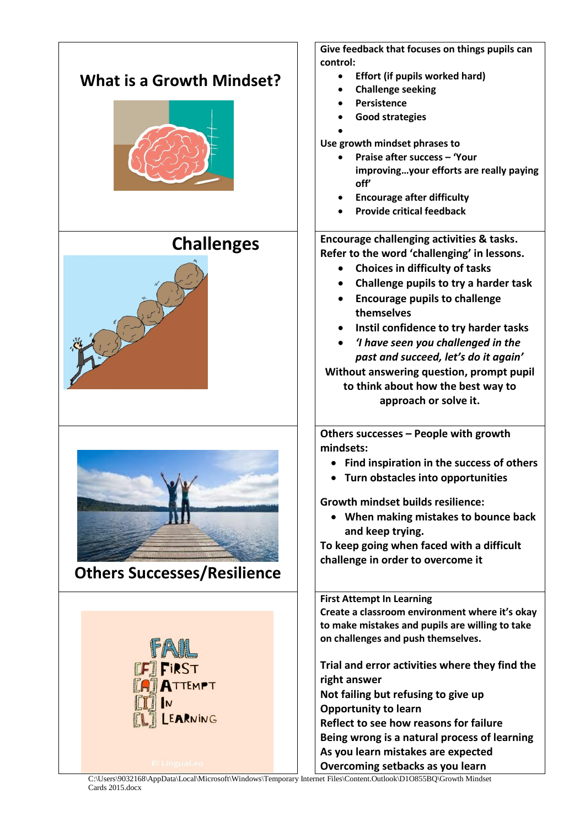|                                    | Give feedback that focuses on things pupils can                       |
|------------------------------------|-----------------------------------------------------------------------|
|                                    | control:                                                              |
| What is a Growth Mindset?          | Effort (if pupils worked hard)                                        |
|                                    | <b>Challenge seeking</b>                                              |
|                                    | <b>Persistence</b>                                                    |
|                                    | <b>Good strategies</b>                                                |
|                                    |                                                                       |
|                                    | Use growth mindset phrases to                                         |
|                                    | Praise after success - 'Your                                          |
|                                    | improvingyour efforts are really paying                               |
|                                    | off'                                                                  |
|                                    | <b>Encourage after difficulty</b><br><b>Provide critical feedback</b> |
|                                    |                                                                       |
|                                    | Encourage challenging activities & tasks.                             |
| <b>Challenges</b>                  |                                                                       |
|                                    | Refer to the word 'challenging' in lessons.                           |
|                                    | Choices in difficulty of tasks                                        |
|                                    | Challenge pupils to try a harder task                                 |
|                                    | <b>Encourage pupils to challenge</b>                                  |
|                                    | themselves                                                            |
|                                    | Instil confidence to try harder tasks                                 |
|                                    | 'I have seen you challenged in the                                    |
|                                    | past and succeed, let's do it again'                                  |
|                                    | Without answering question, prompt pupil                              |
|                                    | to think about how the best way to                                    |
|                                    | approach or solve it.                                                 |
|                                    |                                                                       |
|                                    | Others successes - People with growth                                 |
|                                    | mindsets:                                                             |
|                                    | Find inspiration in the success of others                             |
| $\lambda$                          | Turn obstacles into opportunities                                     |
|                                    |                                                                       |
|                                    | <b>Growth mindset builds resilience:</b>                              |
|                                    | • When making mistakes to bounce back                                 |
|                                    | and keep trying.                                                      |
|                                    | To keep going when faced with a difficult                             |
|                                    | challenge in order to overcome it                                     |
| <b>Others Successes/Resilience</b> |                                                                       |
|                                    | <b>First Attempt In Learning</b>                                      |
|                                    | Create a classroom environment where it's okay                        |
|                                    | to make mistakes and pupils are willing to take                       |
|                                    | on challenges and push themselves.                                    |
| FAIL                               |                                                                       |
| <b>CFJ FIRST</b>                   | Trial and error activities where they find the                        |
| <b>ATTEMPT</b>                     | right answer                                                          |
|                                    | Not failing but refusing to give up                                   |
|                                    | <b>Opportunity to learn</b>                                           |
| LEARNING                           | Reflect to see how reasons for failure                                |
|                                    | Being wrong is a natural process of learning                          |
|                                    | As you learn mistakes are expected                                    |
| <b>総 LinguaLeo</b>                 | Overcoming setbacks as you learn                                      |
|                                    |                                                                       |

C:\Users\9032168\AppData\Local\Microsoft\Windows\Temporary Internet Files\Content.Outlook\D1O855BQ\Growth Mindset Cards 2015.docx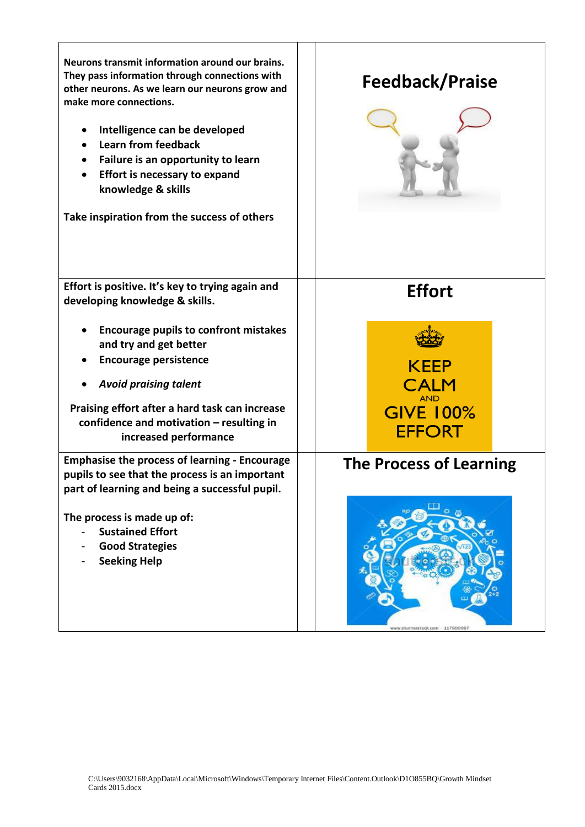| Neurons transmit information around our brains.<br>They pass information through connections with<br>other neurons. As we learn our neurons grow and<br>make more connections.<br>Intelligence can be developed<br><b>Learn from feedback</b><br>Failure is an opportunity to learn<br>Effort is necessary to expand<br>knowledge & skills<br>Take inspiration from the success of others | <b>Feedback/Praise</b>                                                 |
|-------------------------------------------------------------------------------------------------------------------------------------------------------------------------------------------------------------------------------------------------------------------------------------------------------------------------------------------------------------------------------------------|------------------------------------------------------------------------|
| Effort is positive. It's key to trying again and<br>developing knowledge & skills.                                                                                                                                                                                                                                                                                                        | <b>Effort</b>                                                          |
| <b>Encourage pupils to confront mistakes</b><br>and try and get better<br><b>Encourage persistence</b><br><b>Avoid praising talent</b><br>Praising effort after a hard task can increase<br>confidence and motivation - resulting in<br>increased performance                                                                                                                             | KEEP<br><b>CALM</b><br><b>AND</b><br><b>GIVE 100%</b><br><b>EFFORT</b> |
| <b>Emphasise the process of learning - Encourage</b><br>pupils to see that the process is an important<br>part of learning and being a successful pupil.<br>The process is made up of:<br><b>Sustained Effort</b><br><b>Good Strategies</b><br><b>Seeking Help</b>                                                                                                                        | <b>The Process of Learning</b><br>www.shutterstock.com - 117900997     |